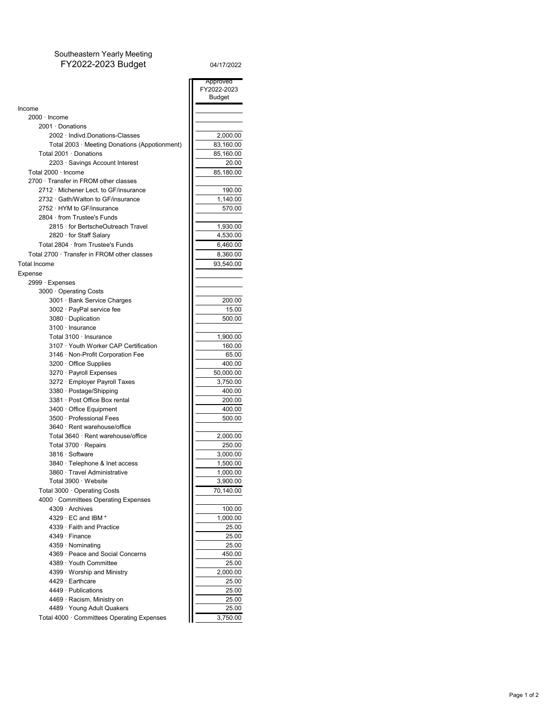## Southeastern Yearly Meeting FY2022-2023 Budget 04/17/2022

| 04/17/2022 |  |  |  |
|------------|--|--|--|
|            |  |  |  |

m

|                                               | Approved      |
|-----------------------------------------------|---------------|
|                                               | FY2022-2023   |
|                                               | <b>Budget</b> |
| Income                                        |               |
| $2000 \cdot$ Income                           |               |
| 2001 · Donations                              |               |
| 2002 · Indivd.Donations-Classes               | 2,000.00      |
| Total 2003 · Meeting Donations (Appotionment) | 83,160.00     |
| Total 2001 · Donations                        | 85,160.00     |
| 2203 · Savings Account Interest               | 20.00         |
| Total 2000 · Income                           | 85,180.00     |
| 2700 · Transfer in FROM other classes         |               |
| 2712 · Michener Lect. to GF/insurance         | 190.00        |
| 2732 · Gath/Walton to GF/insurance            | 1,140.00      |
| 2752 · HYM to GF/insurance                    | 570.00        |
| 2804 from Trustee's Funds                     |               |
| 2815 · for BertscheOutreach Travel            | 1,930.00      |
| 2820 for Staff Salary                         | 4,530.00      |
| Total 2804 · from Trustee's Funds             | 6,460.00      |
| Total 2700 · Transfer in FROM other classes   | 8,360.00      |
| <b>Total Income</b>                           | 93,540.00     |
| Expense                                       |               |
| 2999 · Expenses                               |               |
| 3000 Operating Costs                          |               |
| 3001 · Bank Service Charges                   | 200.00        |
| 3002 · PayPal service fee                     | 15.00         |
| 3080 · Duplication                            | 500.00        |
| $3100 \cdot$ Insurance                        |               |
| Total 3100 · Insurance                        | 1,900.00      |
| 3107 · Youth Worker CAP Certification         | 160.00        |
| 3146 · Non-Profit Corporation Fee             | 65.00         |
| 3200 Office Supplies                          | 400.00        |
| 3270 · Payroll Expenses                       | 50,000.00     |
| 3272 · Employer Payroll Taxes                 | 3,750.00      |
| 3380 · Postage/Shipping                       | 400.00        |
| 3381 · Post Office Box rental                 | 200.00        |
| $3400 \cdot$ Office Equipment                 | 400.00        |
| 3500 · Professional Fees                      | 500.00        |
| 3640 · Rent warehouse/office                  |               |
| Total 3640 · Rent warehouse/office            | 2,000.00      |
| Total 3700 · Repairs                          | 250.00        |
| 3816 · Software                               | 3,000.00      |
| 3840 · Telephone & Inet access                | 1,500.00      |
| 3860 · Travel Administrative                  | 1,000.00      |
| Total 3900 · Website                          | 3,900.00      |
| Total 3000 · Operating Costs                  | 70,140.00     |
| 4000 Committees Operating Expenses            |               |
| 4309 · Archives                               | 100.00        |
| 4329 $\cdot$ EC and IBM $^*$                  | 1,000.00      |
| 4339 · Faith and Practice                     | 25.00         |
| 4349 · Finance                                | 25.00         |
| 4359 · Nominating                             | 25.00         |
| 4369 · Peace and Social Concerns              | 450.00        |
| 4389 · Youth Committee                        | 25.00         |
| 4399 Worship and Ministry                     | 2,000.00      |
| 4429 · Earthcare                              | 25.00         |
| $4449 \cdot$ Publications                     | 25.00         |
| 4469 · Racism, Ministry on                    | 25.00         |
| 4489 · Young Adult Quakers                    | 25.00         |
| Total 4000 · Committees Operating Expenses    | 3,750.00      |